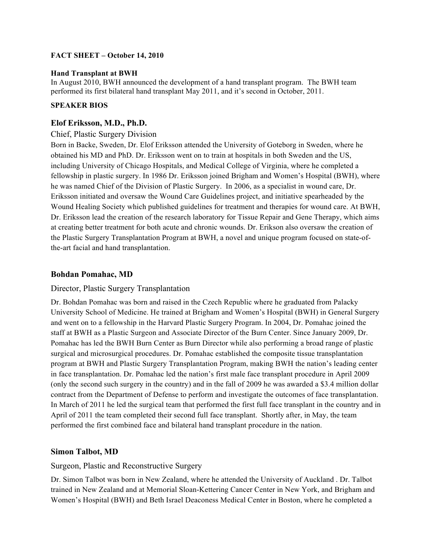## **FACT SHEET – October 14, 2010**

#### **Hand Transplant at BWH**

In August 2010, BWH announced the development of a hand transplant program. The BWH team performed its first bilateral hand transplant May 2011, and it's second in October, 2011.

### **SPEAKER BIOS**

### **Elof Eriksson, M.D., Ph.D.**

### Chief, Plastic Surgery Division

Born in Backe, Sweden, Dr. Elof Eriksson attended the University of Goteborg in Sweden, where he obtained his MD and PhD. Dr. Eriksson went on to train at hospitals in both Sweden and the US, including University of Chicago Hospitals, and Medical College of Virginia, where he completed a fellowship in plastic surgery. In 1986 Dr. Eriksson joined Brigham and Women's Hospital (BWH), where he was named Chief of the Division of Plastic Surgery. In 2006, as a specialist in wound care, Dr. Eriksson initiated and oversaw the Wound Care Guidelines project, and initiative spearheaded by the Wound Healing Society which published guidelines for treatment and therapies for wound care. At BWH, Dr. Eriksson lead the creation of the research laboratory for Tissue Repair and Gene Therapy, which aims at creating better treatment for both acute and chronic wounds. Dr. Erikson also oversaw the creation of the Plastic Surgery Transplantation Program at BWH, a novel and unique program focused on state-ofthe-art facial and hand transplantation.

## **Bohdan Pomahac, MD**

#### Director, Plastic Surgery Transplantation

Dr. Bohdan Pomahac was born and raised in the Czech Republic where he graduated from Palacky University School of Medicine. He trained at Brigham and Women's Hospital (BWH) in General Surgery and went on to a fellowship in the Harvard Plastic Surgery Program. In 2004, Dr. Pomahac joined the staff at BWH as a Plastic Surgeon and Associate Director of the Burn Center. Since January 2009, Dr. Pomahac has led the BWH Burn Center as Burn Director while also performing a broad range of plastic surgical and microsurgical procedures. Dr. Pomahac established the composite tissue transplantation program at BWH and Plastic Surgery Transplantation Program, making BWH the nation's leading center in face transplantation. Dr. Pomahac led the nation's first male face transplant procedure in April 2009 (only the second such surgery in the country) and in the fall of 2009 he was awarded a \$3.4 million dollar contract from the Department of Defense to perform and investigate the outcomes of face transplantation. In March of 2011 he led the surgical team that performed the first full face transplant in the country and in April of 2011 the team completed their second full face transplant. Shortly after, in May, the team performed the first combined face and bilateral hand transplant procedure in the nation.

# **Simon Talbot, MD**

#### Surgeon, Plastic and Reconstructive Surgery

Dr. Simon Talbot was born in New Zealand, where he attended the University of Auckland . Dr. Talbot trained in New Zealand and at Memorial Sloan-Kettering Cancer Center in New York, and Brigham and Women's Hospital (BWH) and Beth Israel Deaconess Medical Center in Boston, where he completed a